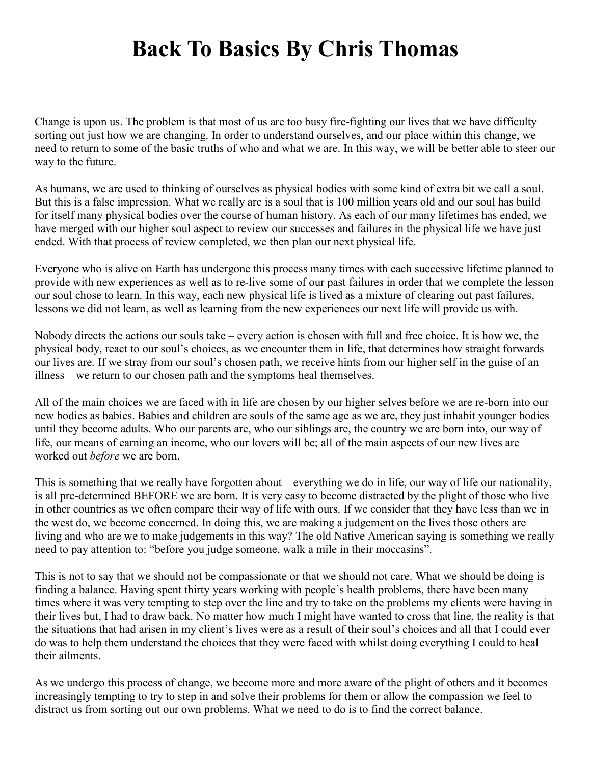## **Back To Basics By Chris Thomas**

Change is upon us. The problem is that most of us are too busy fire-fighting our lives that we have difficulty sorting out just how we are changing. In order to understand ourselves, and our place within this change, we need to return to some of the basic truths of who and what we are. In this way, we will be better able to steer our way to the future.

As humans, we are used to thinking of ourselves as physical bodies with some kind of extra bit we call a soul. But this is a false impression. What we really are is a soul that is 100 million years old and our soul has build for itself many physical bodies over the course of human history. As each of our many lifetimes has ended, we have merged with our higher soul aspect to review our successes and failures in the physical life we have just ended. With that process of review completed, we then plan our next physical life.

Everyone who is alive on Earth has undergone this process many times with each successive lifetime planned to provide with new experiences as well as to re-live some of our past failures in order that we complete the lesson our soul chose to learn. In this way, each new physical life is lived as a mixture of clearing out past failures, lessons we did not learn, as well as learning from the new experiences our next life will provide us with.

Nobody directs the actions our souls take – every action is chosen with full and free choice. It is how we, the physical body, react to our soul's choices, as we encounter them in life, that determines how straight forwards our lives are. If we stray from our soul's chosen path, we receive hints from our higher self in the guise of an illness – we return to our chosen path and the symptoms heal themselves.

All of the main choices we are faced with in life are chosen by our higher selves before we are re-born into our new bodies as babies. Babies and children are souls of the same age as we are, they just inhabit younger bodies until they become adults. Who our parents are, who our siblings are, the country we are born into, our way of life, our means of earning an income, who our lovers will be; all of the main aspects of our new lives are worked out *before* we are born.

This is something that we really have forgotten about – everything we do in life, our way of life our nationality, is all pre-determined BEFORE we are born. It is very easy to become distracted by the plight of those who live in other countries as we often compare their way of life with ours. If we consider that they have less than we in the west do, we become concerned. In doing this, we are making a judgement on the lives those others are living and who are we to make judgements in this way? The old Native American saying is something we really need to pay attention to: "before you judge someone, walk a mile in their moccasins".

This is not to say that we should not be compassionate or that we should not care. What we should be doing is finding a balance. Having spent thirty years working with people's health problems, there have been many times where it was very tempting to step over the line and try to take on the problems my clients were having in their lives but, I had to draw back. No matter how much I might have wanted to cross that line, the reality is that the situations that had arisen in my client's lives were as a result of their soul's choices and all that I could ever do was to help them understand the choices that they were faced with whilst doing everything I could to heal their ailments.

As we undergo this process of change, we become more and more aware of the plight of others and it becomes increasingly tempting to try to step in and solve their problems for them or allow the compassion we feel to distract us from sorting out our own problems. What we need to do is to find the correct balance.